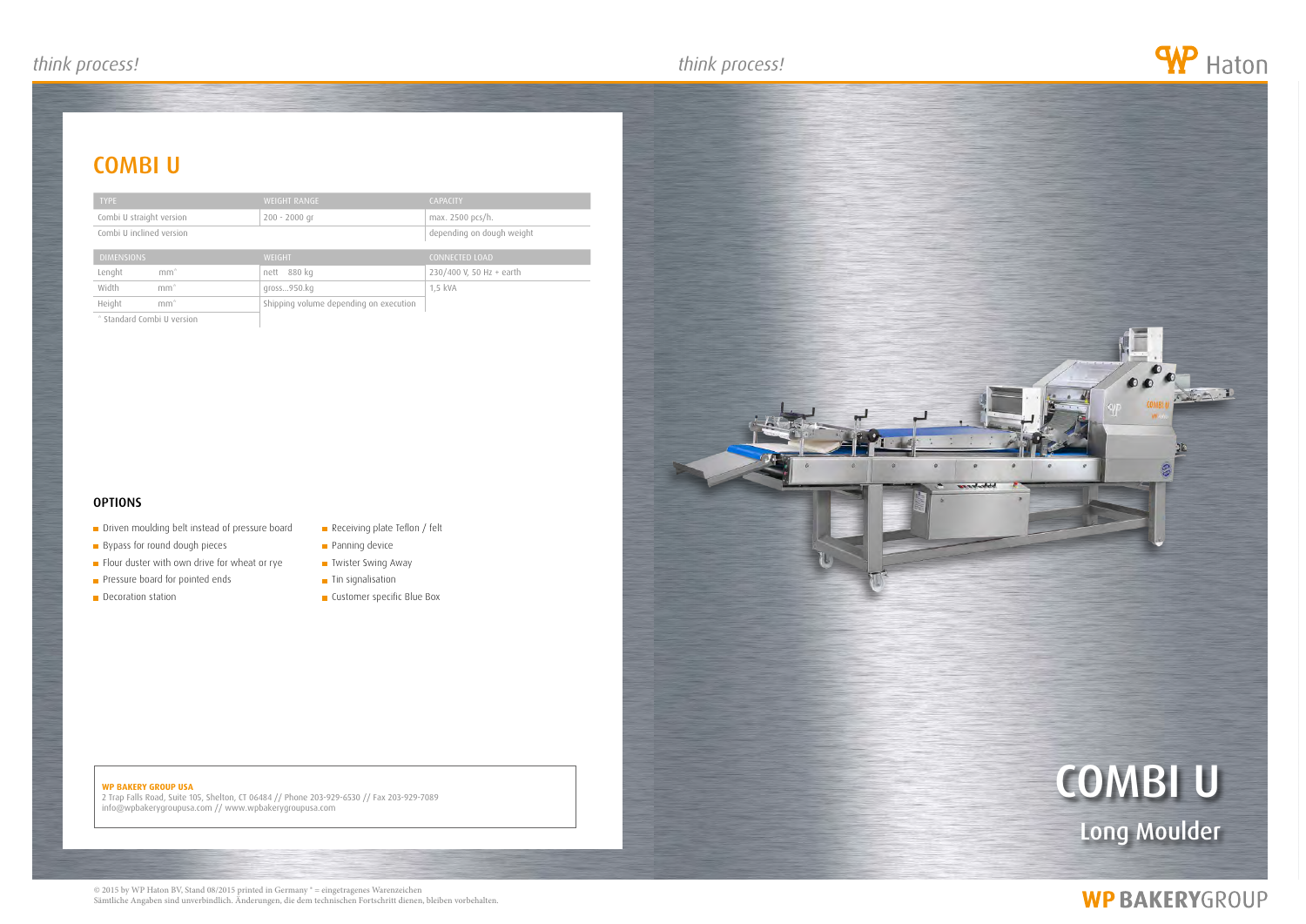## *think process! think process! think process!*

## **COMBI U**

#### **WP BAKERY GROUP USA**

2 Trap Falls Road, Suite 105, Shelton, CT 06484 // Phone 203-929-6530 // Fax 203-929-7089 info@wpbakerygroupusa.com // www.wpbakerygroupusa.com





## **WP BAKERYGROUP**

| <b>TYPE</b>                | <b>WEIGHT RANGE</b>                    | <b>CAPACITY</b>           |
|----------------------------|----------------------------------------|---------------------------|
| Combi U straight version   | $200 - 2000$ gr                        | max. 2500 pcs/h.          |
| Combi U inclined version   |                                        | depending on dough weight |
| <b>DIMENSIONS</b>          | <b>WEIGHT</b>                          | <b>CONNECTED LOAD</b>     |
| $mm^*$<br>Lenght           | 880 kg<br>nett                         | 230/400 V, 50 Hz + earth  |
| Width<br>$mm^*$            | gross950.kg                            | 1,5 kVA                   |
| Height<br>$mm^*$           | Shipping volume depending on execution |                           |
| * Standard Combi U version |                                        |                           |

#### **OPTIONS**

- **Driven moulding belt instead of pressure board**
- Bypass for round dough pieces
- $\blacksquare$  Flour duster with own drive for wheat or rye
- Pressure board for pointed ends
- **Decoration station**
- Receiving plate Teflon / felt
- **Panning device**
- **Twister Swing Away**
- **Tin signalisation**
- **Customer specific Blue Box**